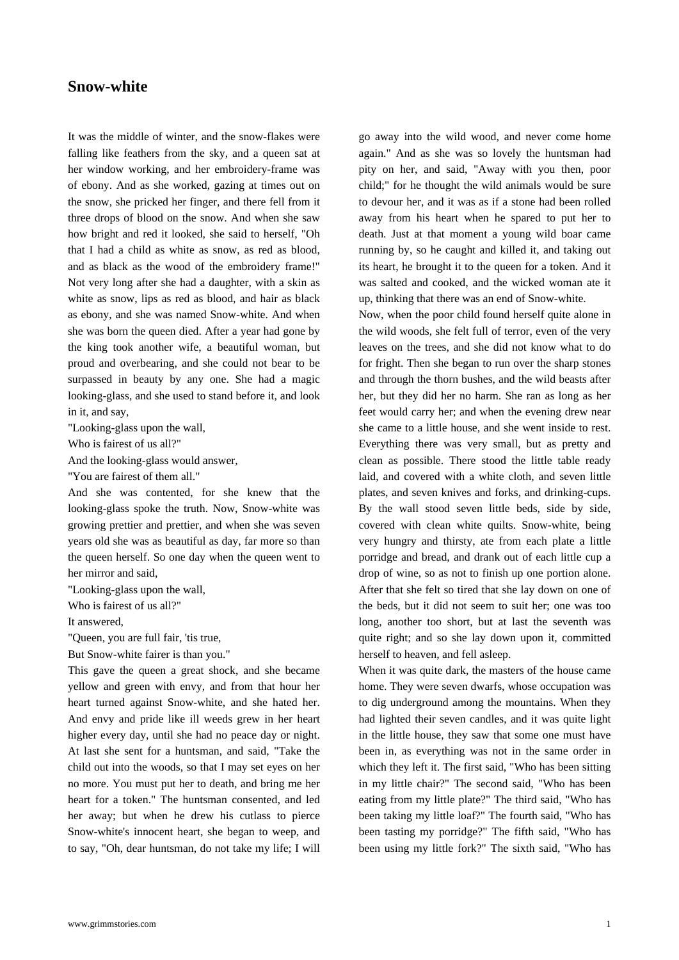## **Snow-white**

[It was the middle](https://www.grimmstories.com/en/grimm_fairy-tales/snow-white) of winter, and the snow-flakes were falling like feathers from the sky, and a queen sat at her window working, and her embroidery-frame was of ebony. And as she worked, gazing at times out on the snow, she pricked her finger, and there fell from it three drops of blood on the snow. And when she saw how bright and red it looked, she said to herself, "Oh that I had a child as white as snow, as red as blood, and as black as the wood of the embroidery frame!" Not very long after she had a daughter, with a skin as white as snow, lips as red as blood, and hair as black as ebony, and she was named Snow-white. And when she was born the queen died. After a year had gone by the king took another wife, a beautiful woman, but proud and overbearing, and she could not bear to be surpassed in beauty by any one. She had a magic looking-glass, and she used to stand before it, and look in it, and say,

"Looking-glass upon the wall,

Who is fairest of us all?"

And the looking-glass would answer,

"You are fairest of them all."

And she was contented, for she knew that the looking-glass spoke the truth. Now, Snow-white was growing prettier and prettier, and when she was seven years old she was as beautiful as day, far more so than the queen herself. So one day when the queen went to her mirror and said,

"Looking-glass upon the wall,

Who is fairest of us all?"

It answered,

"Queen, you are full fair, 'tis true,

But Snow-white fairer is than you."

This gave the queen a great shock, and she became yellow and green with envy, and from that hour her heart turned against Snow-white, and she hated her. And envy and pride like ill weeds grew in her heart higher every day, until she had no peace day or night. At last she sent for a huntsman, and said, "Take the child out into the woods, so that I may set eyes on her no more. You must put her to death, and bring me her heart for a token." The huntsman consented, and led her away; but when he drew his cutlass to pierce Snow-white's innocent heart, she began to weep, and to say, "Oh, dear huntsman, do not take my life; I will go away into the wild wood, and never come home again." And as she was so lovely the huntsman had pity on her, and said, "Away with you then, poor child;" for he thought the wild animals would be sure to devour her, and it was as if a stone had been rolled away from his heart when he spared to put her to death. Just at that moment a young wild boar came running by, so he caught and killed it, and taking out its heart, he brought it to the queen for a token. And it was salted and cooked, and the wicked woman ate it up, thinking that there was an end of Snow-white.

Now, when the poor child found herself quite alone in the wild woods, she felt full of terror, even of the very leaves on the trees, and she did not know what to do for fright. Then she began to run over the sharp stones and through the thorn bushes, and the wild beasts after her, but they did her no harm. She ran as long as her feet would carry her; and when the evening drew near she came to a little house, and she went inside to rest. Everything there was very small, but as pretty and clean as possible. There stood the little table ready laid, and covered with a white cloth, and seven little plates, and seven knives and forks, and drinking-cups. By the wall stood seven little beds, side by side, covered with clean white quilts. Snow-white, being very hungry and thirsty, ate from each plate a little porridge and bread, and drank out of each little cup a drop of wine, so as not to finish up one portion alone. After that she felt so tired that she lay down on one of the beds, but it did not seem to suit her; one was too long, another too short, but at last the seventh was quite right; and so she lay down upon it, committed herself to heaven, and fell asleep.

When it was quite dark, the masters of the house came home. They were seven dwarfs, whose occupation was to dig underground among the mountains. When they had lighted their seven candles, and it was quite light in the little house, they saw that some one must have been in, as everything was not in the same order in which they left it. The first said, "Who has been sitting in my little chair?" The second said, "Who has been eating from my little plate?" The third said, "Who has been taking my little loaf?" The fourth said, "Who has been tasting my porridge?" The fifth said, "Who has been using my little fork?" The sixth said, "Who has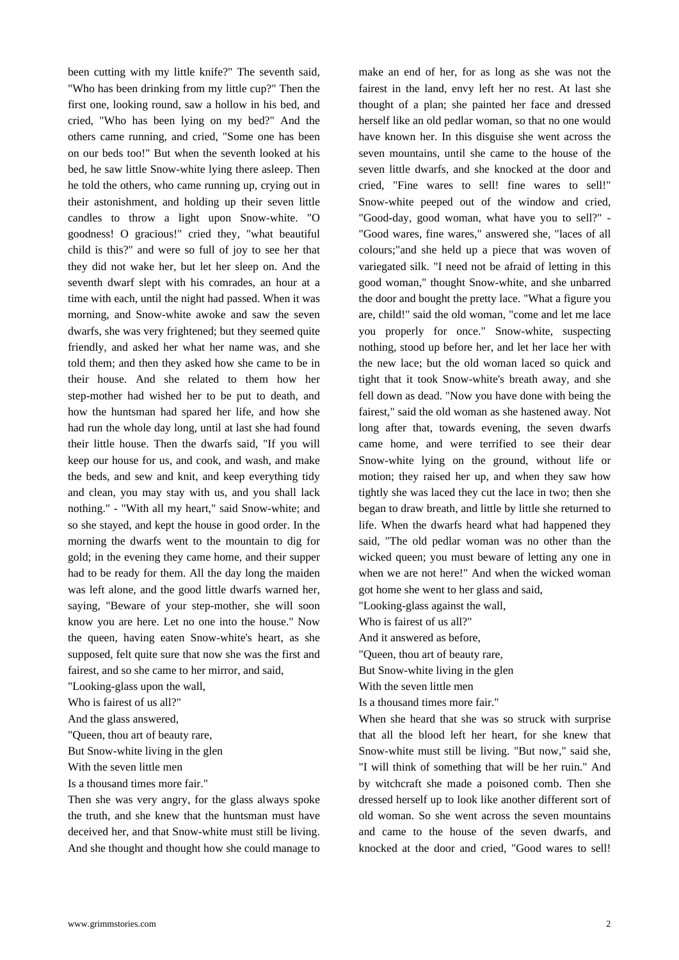been cutting with my little knife?" The seventh said, "Who has been drinking from my little cup?" Then the first one, looking round, saw a hollow in his bed, and cried, "Who has been lying on my bed?" And the others came running, and cried, "Some one has been on our beds too!" But when the seventh looked at his bed, he saw little Snow-white lying there asleep. Then he told the others, who came running up, crying out in their astonishment, and holding up their seven little candles to throw a light upon Snow-white. "O goodness! O gracious!" cried they, "what beautiful child is this?" and were so full of joy to see her that they did not wake her, but let her sleep on. And the seventh dwarf slept with his comrades, an hour at a time with each, until the night had passed. When it was morning, and Snow-white awoke and saw the seven dwarfs, she was very frightened; but they seemed quite friendly, and asked her what her name was, and she told them; and then they asked how she came to be in their house. And she related to them how her step-mother had wished her to be put to death, and how the huntsman had spared her life, and how she had run the whole day long, until at last she had found their little house. Then the dwarfs said, "If you will keep our house for us, and cook, and wash, and make the beds, and sew and knit, and keep everything tidy and clean, you may stay with us, and you shall lack nothing." - "With all my heart," said Snow-white; and so she stayed, and kept the house in good order. In the morning the dwarfs went to the mountain to dig for gold; in the evening they came home, and their supper had to be ready for them. All the day long the maiden was left alone, and the good little dwarfs warned her, saying, "Beware of your step-mother, she will soon know you are here. Let no one into the house." Now the queen, having eaten Snow-white's heart, as she supposed, felt quite sure that now she was the first and fairest, and so she came to her mirror, and said,

"Looking-glass upon the wall,

Who is fairest of us all?"

And the glass answered,

"Queen, thou art of beauty rare,

But Snow-white living in the glen

With the seven little men

Is a thousand times more fair."

Then she was very angry, for the glass always spoke the truth, and she knew that the huntsman must have deceived her, and that Snow-white must still be living. And she thought and thought how she could manage to make an end of her, for as long as she was not the fairest in the land, envy left her no rest. At last she thought of a plan; she painted her face and dressed herself like an old pedlar woman, so that no one would have known her. In this disguise she went across the seven mountains, until she came to the house of the seven little dwarfs, and she knocked at the door and cried, "Fine wares to sell! fine wares to sell!" Snow-white peeped out of the window and cried, "Good-day, good woman, what have you to sell?" - "Good wares, fine wares," answered she, "laces of all colours;"and she held up a piece that was woven of variegated silk. "I need not be afraid of letting in this good woman," thought Snow-white, and she unbarred the door and bought the pretty lace. "What a figure you are, child!" said the old woman, "come and let me lace you properly for once." Snow-white, suspecting nothing, stood up before her, and let her lace her with the new lace; but the old woman laced so quick and tight that it took Snow-white's breath away, and she fell down as dead. "Now you have done with being the fairest," said the old woman as she hastened away. Not long after that, towards evening, the seven dwarfs came home, and were terrified to see their dear Snow-white lying on the ground, without life or motion; they raised her up, and when they saw how tightly she was laced they cut the lace in two; then she began to draw breath, and little by little she returned to life. When the dwarfs heard what had happened they said, "The old pedlar woman was no other than the wicked queen; you must beware of letting any one in when we are not here!" And when the wicked woman got home she went to her glass and said,

"Looking-glass against the wall,

Who is fairest of us all?"

And it answered as before,

"Queen, thou art of beauty rare,

But Snow-white living in the glen

With the seven little men

Is a thousand times more fair."

When she heard that she was so struck with surprise that all the blood left her heart, for she knew that Snow-white must still be living. "But now," said she, "I will think of something that will be her ruin." And by witchcraft she made a poisoned comb. Then she dressed herself up to look like another different sort of old woman. So she went across the seven mountains and came to the house of the seven dwarfs, and knocked at the door and cried, "Good wares to sell!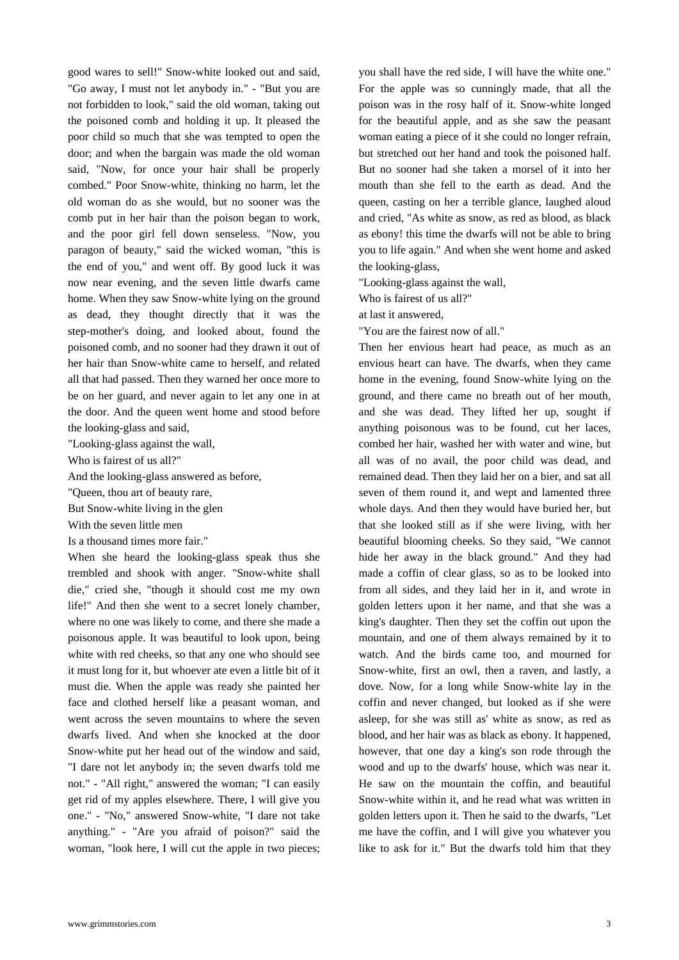good wares to sell!" Snow-white looked out and said, "Go away, I must not let anybody in." - "But you are not forbidden to look," said the old woman, taking out the poisoned comb and holding it up. It pleased the poor child so much that she was tempted to open the door; and when the bargain was made the old woman said, "Now, for once your hair shall be properly combed." Poor Snow-white, thinking no harm, let the old woman do as she would, but no sooner was the comb put in her hair than the poison began to work, and the poor girl fell down senseless. "Now, you paragon of beauty," said the wicked woman, "this is the end of you," and went off. By good luck it was now near evening, and the seven little dwarfs came home. When they saw Snow-white lying on the ground as dead, they thought directly that it was the step-mother's doing, and looked about, found the poisoned comb, and no sooner had they drawn it out of her hair than Snow-white came to herself, and related all that had passed. Then they warned her once more to be on her guard, and never again to let any one in at the door. And the queen went home and stood before the looking-glass and said,

"Looking-glass against the wall,

Who is fairest of us all?"

And the looking-glass answered as before,

"Queen, thou art of beauty rare,

But Snow-white living in the glen

With the seven little men

Is a thousand times more fair."

When she heard the looking-glass speak thus she trembled and shook with anger. "Snow-white shall die," cried she, "though it should cost me my own life!" And then she went to a secret lonely chamber, where no one was likely to come, and there she made a poisonous apple. It was beautiful to look upon, being white with red cheeks, so that any one who should see it must long for it, but whoever ate even a little bit of it must die. When the apple was ready she painted her face and clothed herself like a peasant woman, and went across the seven mountains to where the seven dwarfs lived. And when she knocked at the door Snow-white put her head out of the window and said, "I dare not let anybody in; the seven dwarfs told me not." - "All right," answered the woman; "I can easily get rid of my apples elsewhere. There, I will give you one." - "No," answered Snow-white, "I dare not take anything." - "Are you afraid of poison?" said the woman, "look here, I will cut the apple in two pieces; you shall have the red side, I will have the white one." For the apple was so cunningly made, that all the poison was in the rosy half of it. Snow-white longed for the beautiful apple, and as she saw the peasant woman eating a piece of it she could no longer refrain, but stretched out her hand and took the poisoned half. But no sooner had she taken a morsel of it into her mouth than she fell to the earth as dead. And the queen, casting on her a terrible glance, laughed aloud and cried, "As white as snow, as red as blood, as black as ebony! this time the dwarfs will not be able to bring you to life again." And when she went home and asked the looking-glass,

"Looking-glass against the wall,

Who is fairest of us all?"

at last it answered,

"You are the fairest now of all."

Then her envious heart had peace, as much as an envious heart can have. The dwarfs, when they came home in the evening, found Snow-white lying on the ground, and there came no breath out of her mouth, and she was dead. They lifted her up, sought if anything poisonous was to be found, cut her laces, combed her hair, washed her with water and wine, but all was of no avail, the poor child was dead, and remained dead. Then they laid her on a bier, and sat all seven of them round it, and wept and lamented three whole days. And then they would have buried her, but that she looked still as if she were living, with her beautiful blooming cheeks. So they said, "We cannot hide her away in the black ground." And they had made a coffin of clear glass, so as to be looked into from all sides, and they laid her in it, and wrote in golden letters upon it her name, and that she was a king's daughter. Then they set the coffin out upon the mountain, and one of them always remained by it to watch. And the birds came too, and mourned for Snow-white, first an owl, then a raven, and lastly, a dove. Now, for a long while Snow-white lay in the coffin and never changed, but looked as if she were asleep, for she was still as' white as snow, as red as blood, and her hair was as black as ebony. It happened, however, that one day a king's son rode through the wood and up to the dwarfs' house, which was near it. He saw on the mountain the coffin, and beautiful Snow-white within it, and he read what was written in golden letters upon it. Then he said to the dwarfs, "Let me have the coffin, and I will give you whatever you like to ask for it." But the dwarfs told him that they